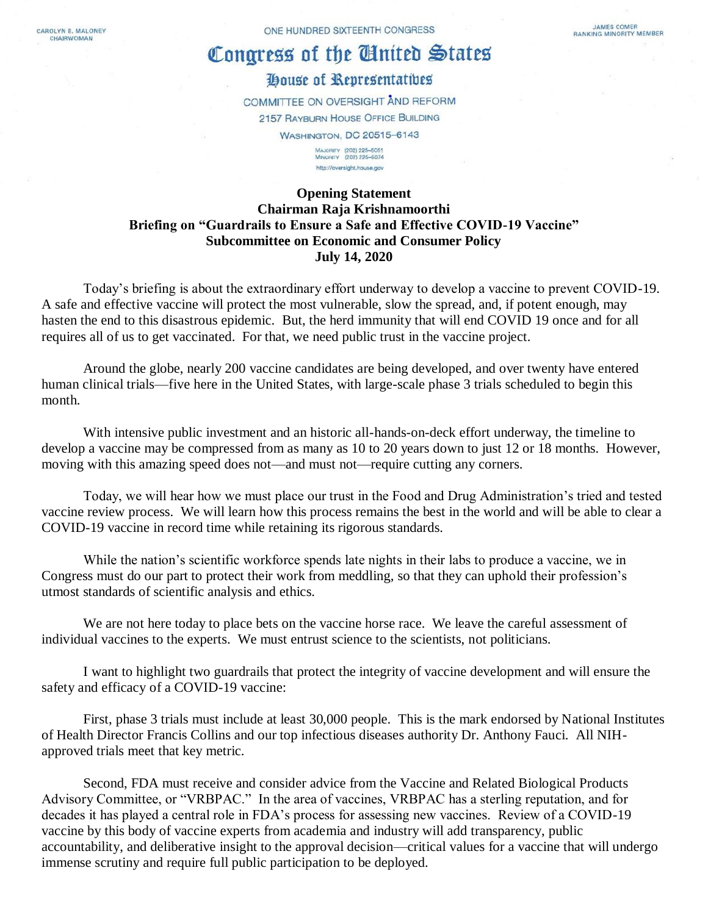CAROLYN B. MALONEY CHAIRWOMAN

## Congress of the United States

## House of Representatives

COMMITTEE ON OVERSIGHT AND REFORM 2157 RAYBURN HOUSE OFFICE BUILDING **WASHINGTON, DC 20515-6143** MAJORITY (202) 225-5051<br>MINORITY (202) 225-5074

http://oversight.house.gov

## **Opening Statement Chairman Raja Krishnamoorthi Briefing on "Guardrails to Ensure a Safe and Effective COVID-19 Vaccine" Subcommittee on Economic and Consumer Policy July 14, 2020**

Today's briefing is about the extraordinary effort underway to develop a vaccine to prevent COVID-19. A safe and effective vaccine will protect the most vulnerable, slow the spread, and, if potent enough, may hasten the end to this disastrous epidemic. But, the herd immunity that will end COVID 19 once and for all requires all of us to get vaccinated. For that, we need public trust in the vaccine project.

Around the globe, nearly 200 vaccine candidates are being developed, and over twenty have entered human clinical trials—five here in the United States, with large-scale phase 3 trials scheduled to begin this month.

With intensive public investment and an historic all-hands-on-deck effort underway, the timeline to develop a vaccine may be compressed from as many as 10 to 20 years down to just 12 or 18 months. However, moving with this amazing speed does not—and must not—require cutting any corners.

Today, we will hear how we must place our trust in the Food and Drug Administration's tried and tested vaccine review process. We will learn how this process remains the best in the world and will be able to clear a COVID-19 vaccine in record time while retaining its rigorous standards.

While the nation's scientific workforce spends late nights in their labs to produce a vaccine, we in Congress must do our part to protect their work from meddling, so that they can uphold their profession's utmost standards of scientific analysis and ethics.

We are not here today to place bets on the vaccine horse race. We leave the careful assessment of individual vaccines to the experts. We must entrust science to the scientists, not politicians.

I want to highlight two guardrails that protect the integrity of vaccine development and will ensure the safety and efficacy of a COVID-19 vaccine:

First, phase 3 trials must include at least 30,000 people. This is the mark endorsed by National Institutes of Health Director Francis Collins and our top infectious diseases authority Dr. Anthony Fauci. All NIHapproved trials meet that key metric.

Second, FDA must receive and consider advice from the Vaccine and Related Biological Products Advisory Committee, or "VRBPAC." In the area of vaccines, VRBPAC has a sterling reputation, and for decades it has played a central role in FDA's process for assessing new vaccines. Review of a COVID-19 vaccine by this body of vaccine experts from academia and industry will add transparency, public accountability, and deliberative insight to the approval decision—critical values for a vaccine that will undergo immense scrutiny and require full public participation to be deployed.